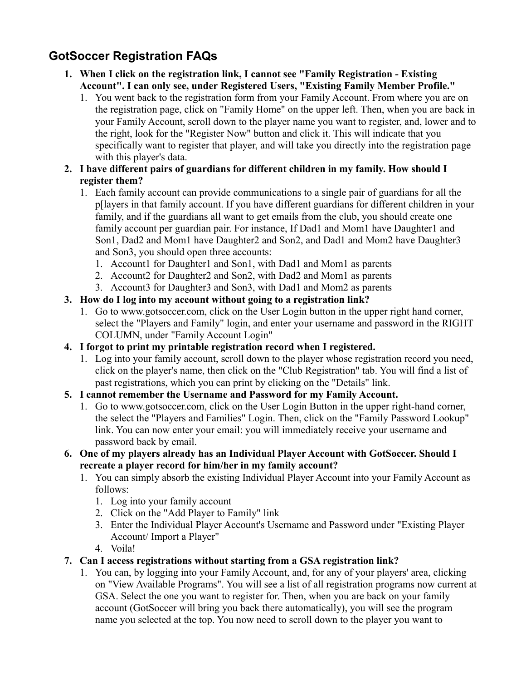# **GotSoccer Registration FAQs**

- **1. When I click on the registration link, I cannot see "Family Registration Existing Account". I can only see, under Registered Users, "Existing Family Member Profile."**
	- 1. You went back to the registration form from your Family Account. From where you are on the registration page, click on "Family Home" on the upper left. Then, when you are back in your Family Account, scroll down to the player name you want to register, and, lower and to the right, look for the "Register Now" button and click it. This will indicate that you specifically want to register that player, and will take you directly into the registration page with this player's data.
- **2. I have different pairs of guardians for different children in my family. How should I register them?**
	- 1. Each family account can provide communications to a single pair of guardians for all the p[layers in that family account. If you have different guardians for different children in your family, and if the guardians all want to get emails from the club, you should create one family account per guardian pair. For instance, If Dad1 and Mom1 have Daughter1 and Son1, Dad2 and Mom1 have Daughter2 and Son2, and Dad1 and Mom2 have Daughter3 and Son3, you should open three accounts:
		- 1. Account1 for Daughter1 and Son1, with Dad1 and Mom1 as parents
		- 2. Account2 for Daughter2 and Son2, with Dad2 and Mom1 as parents
		- 3. Account3 for Daughter3 and Son3, with Dad1 and Mom2 as parents
- **3. How do I log into my account without going to a registration link?**
	- 1. Go to www.gotsoccer.com, click on the User Login button in the upper right hand corner, select the "Players and Family" login, and enter your username and password in the RIGHT COLUMN, under "Family Account Login"
- **4. I forgot to print my printable registration record when I registered.**
	- 1. Log into your family account, scroll down to the player whose registration record you need, click on the player's name, then click on the "Club Registration" tab. You will find a list of past registrations, which you can print by clicking on the "Details" link.
- **5. I cannot remember the Username and Password for my Family Account.**
	- 1. Go to www.gotsoccer.com, click on the User Login Button in the upper right-hand corner, the select the "Players and Families" Login. Then, click on the "Family Password Lookup" link. You can now enter your email: you will immediately receive your username and password back by email.
- **6. One of my players already has an Individual Player Account with GotSoccer. Should I recreate a player record for him/her in my family account?**
	- 1. You can simply absorb the existing Individual Player Account into your Family Account as follows:
		- 1. Log into your family account
		- 2. Click on the "Add Player to Family" link
		- 3. Enter the Individual Player Account's Username and Password under "Existing Player Account/ Import a Player"
		- 4. Voila!
- **7. Can I access registrations without starting from a GSA registration link?**
	- 1. You can, by logging into your Family Account, and, for any of your players' area, clicking on "View Available Programs". You will see a list of all registration programs now current at GSA. Select the one you want to register for. Then, when you are back on your family account (GotSoccer will bring you back there automatically), you will see the program name you selected at the top. You now need to scroll down to the player you want to